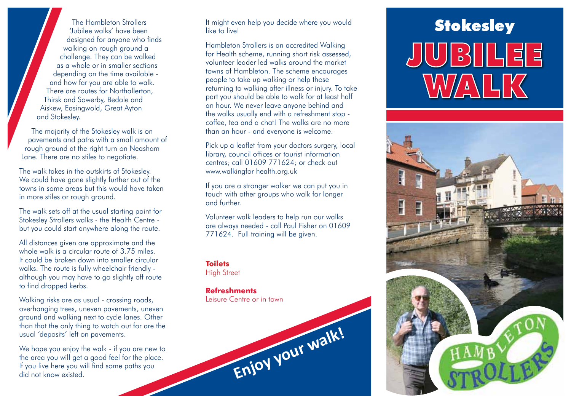'Jubilee walks' have been designed for anyone who finds walking on rough ground a challenge. They can be walked as a whole or in smaller sections depending on the time available and how far you are able to walk. There are routes for Northallerton, Thirsk and Sowerby, Bedale and Aiskew, Easingwold, Great Ayton and Stokesley.

The majority of the Stokesley walk is on pavements and paths with a small amount of rough ground at the right turn on Neasham Lane. There are no stiles to negotiate.

The walk takes in the outskirts of Stokesley. We could have gone slightly further out of the towns in some areas but this would have taken in more stiles or rough ground.

The walk sets off at the usual starting point for Stokesley Strollers walks - the Health Centre but you could start anywhere along the route.

All distances given are approximate and the whole walk is a circular route of 3.75 miles. It could be broken down into smaller circular walks. The route is fully wheelchair friendly although you may have to go slightly off route to find dropped kerbs.

Walking risks are as usual - crossing roads, overhanging trees, uneven pavements, uneven ground and walking next to cycle lanes. Other than that the only thing to watch out for are the usual 'deposits' left on pavements.

We hope you enjoy the walk - if you are new to the area you will get a good feel for the place. If you live here you will find some paths you did not know existed.

The Hambleton Strollers **Stockey of the Strollers** of the Hambleton Strollers of the Hambleton Strollers of the Hambleton Strollers of the Strollers of the to live to live to the United Strollers and the to live to live to It might even help you decide where you would like to live!

> Hambleton Strollers is an accredited Walking for Health scheme, running short risk assessed, volunteer leader led walks around the market towns of Hambleton. The scheme encourages people to take up walking or help those returning to walking after illness or injury. To take part you should be able to walk for at least half an hour. We never leave anyone behind and the walks usually end with a refreshment stop coffee, tea and a chat! The walks are no more than an hour - and everyone is welcome.

> Pick up a leaflet from your doctors surgery, local library, council offices or tourist information centres; call 01609 771624; or check out www.walkingfor health.org.uk

If you are a stronger walker we can put you in touch with other groups who walk for longer and further.

Volunteer walk leaders to help run our walks are always needed - call Paul Fisher on 01609 771624. Full training will be given.

## **Toilets**

**High Street** 

## **Refreshments**

Leisure Centre or in town



## JUJE WALK